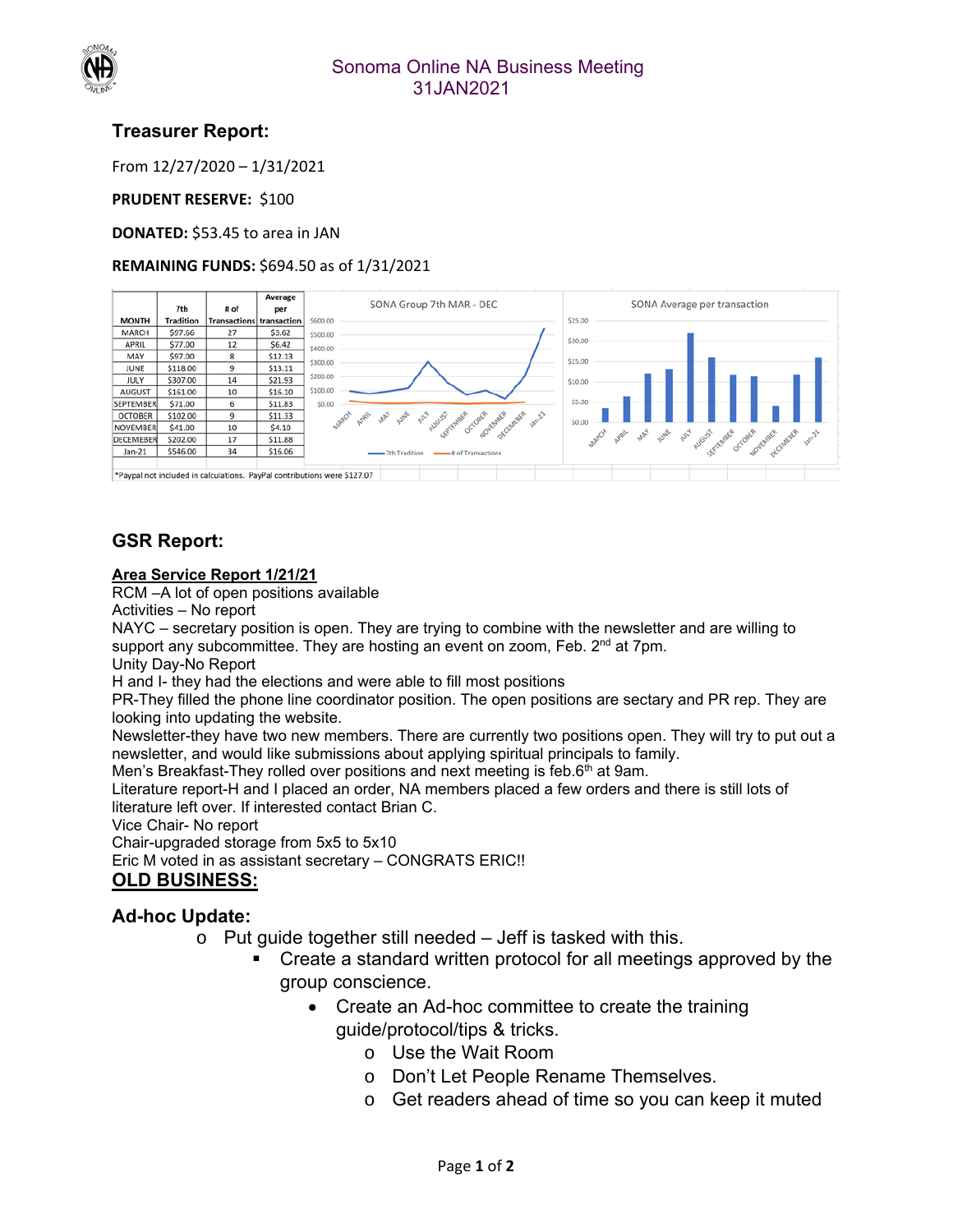

### Sonoma Online NA Business Meeting 31JAN2021

# **Treasurer Report:**

From 12/27/2020 – 1/31/2021

#### **PRUDENT RESERVE: \$100**

**DONATED:** \$53.45 to area in JAN

#### **REMAINING FUNDS:** \$694.50 as of 1/31/2021

|                                                                          |                  |                                 | Average | SONA Group 7th MAR - DEC                                               | SONA Average per transaction                     |  |
|--------------------------------------------------------------------------|------------------|---------------------------------|---------|------------------------------------------------------------------------|--------------------------------------------------|--|
|                                                                          | 7th              | # of                            | per     |                                                                        |                                                  |  |
| <b>MONTH</b>                                                             | <b>Tradition</b> | <b>Transactions transaction</b> |         | \$25.00<br>\$600,00                                                    |                                                  |  |
| <b>MARCH</b>                                                             | \$97.66          | 27                              | \$3.62  | \$500.00                                                               |                                                  |  |
| <b>APRIL</b>                                                             | \$77.00          | 12                              | \$6.42  | \$20.00<br>\$400.00                                                    |                                                  |  |
| MAY                                                                      | \$97.00          | 8                               | \$12.13 | \$15.00<br>\$300.00                                                    |                                                  |  |
| JUNE                                                                     | \$118.00         | 9                               | \$13.11 |                                                                        |                                                  |  |
| JULY                                                                     | \$307.00         | 14                              | \$21.93 | \$200.00<br>\$10.00                                                    |                                                  |  |
| <b>AUGUST</b>                                                            | \$161.00         | 10                              | \$16.10 | \$100.00                                                               |                                                  |  |
| <b>SEPTEMBER</b>                                                         | \$71.00          | 6                               | \$11.83 | \$5.00<br>\$0.00                                                       |                                                  |  |
| <b>OCTOBER</b>                                                           | \$102.00         | 9                               | \$11.33 | MARCH<br><b>WATE</b><br><b>SARA</b><br><b>AULA</b><br>130-21<br>APPLIL |                                                  |  |
| <b>NOVEMBER</b>                                                          | \$41.00          | 10                              | \$4.10  | August Texter of Oak August of Centre<br>\$0.00                        |                                                  |  |
| <b>DECEMEBER</b>                                                         | \$202.00         | 17                              | \$11.88 | <b>SAR</b><br>MARCH<br>APRIL                                           |                                                  |  |
| Jan-21                                                                   | \$546.00         | 34                              | \$16.06 | -# of Transactions<br>7th Tradition                                    | I ame and work contents of one point of contents |  |
|                                                                          |                  |                                 |         |                                                                        |                                                  |  |
| *Paypal not included in calculations. PayPal contributions were \$127.07 |                  |                                 |         |                                                                        |                                                  |  |

## **GSR Report:**

#### **Area Service Report 1/21/21**

RCM –A lot of open positions available

Activities – No report

NAYC – secretary position is open. They are trying to combine with the newsletter and are willing to support any subcommittee. They are hosting an event on zoom, Feb. 2<sup>nd</sup> at 7pm.

Unity Day-No Report

H and I- they had the elections and were able to fill most positions

PR-They filled the phone line coordinator position. The open positions are sectary and PR rep. They are looking into updating the website.

Newsletter-they have two new members. There are currently two positions open. They will try to put out a newsletter, and would like submissions about applying spiritual principals to family.

Men's Breakfast-They rolled over positions and next meeting is feb.6<sup>th</sup> at 9am.

Literature report-H and I placed an order, NA members placed a few orders and there is still lots of literature left over. If interested contact Brian C.

Vice Chair- No report

Chair-upgraded storage from 5x5 to 5x10 Eric M voted in as assistant secretary – CONGRATS ERIC!! **OLD BUSINESS:** 

# **Ad-hoc Update:**

- $\circ$  Put guide together still needed  $-$  Jeff is tasked with this.
	- Create a standard written protocol for all meetings approved by the group conscience.
		- Create an Ad-hoc committee to create the training guide/protocol/tips & tricks.
			- o Use the Wait Room
			- o Don't Let People Rename Themselves.
			- o Get readers ahead of time so you can keep it muted